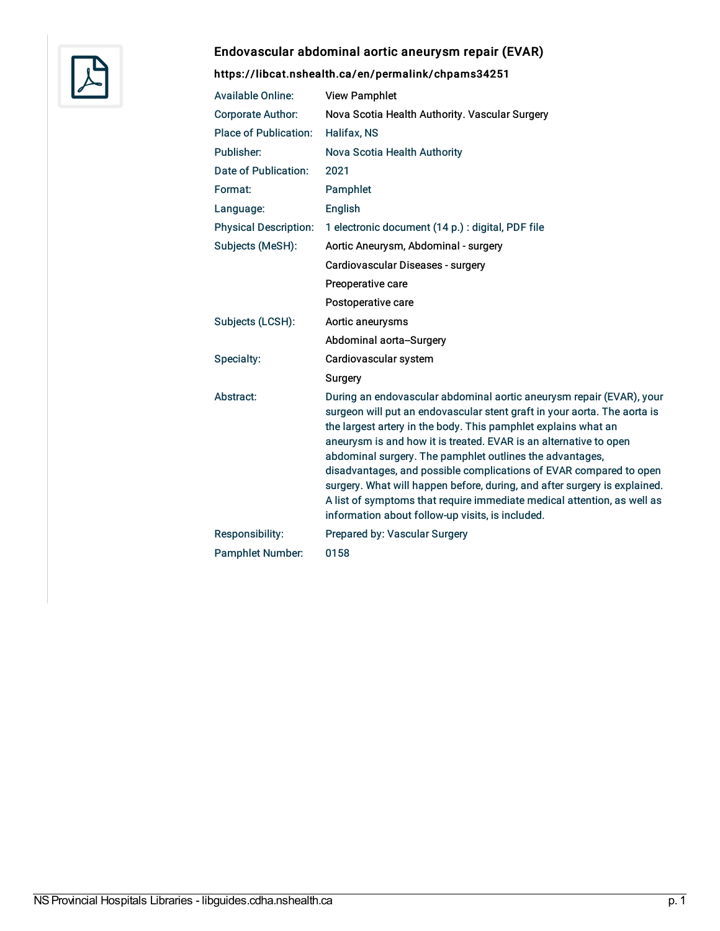

# Endovascular abdominal aortic aneurysm repair (EVAR)

# <https://libcat.nshealth.ca/en/permalink/chpams34251>

| <b>Available Online:</b>     | <b>View Pamphlet</b>                                                                                                                                                                                                                                                                                                                                                                                                                                                                                                                                                                                                                  |
|------------------------------|---------------------------------------------------------------------------------------------------------------------------------------------------------------------------------------------------------------------------------------------------------------------------------------------------------------------------------------------------------------------------------------------------------------------------------------------------------------------------------------------------------------------------------------------------------------------------------------------------------------------------------------|
| <b>Corporate Author:</b>     | Nova Scotia Health Authority. Vascular Surgery                                                                                                                                                                                                                                                                                                                                                                                                                                                                                                                                                                                        |
| <b>Place of Publication:</b> | Halifax, NS                                                                                                                                                                                                                                                                                                                                                                                                                                                                                                                                                                                                                           |
| Publisher:                   | Nova Scotia Health Authority                                                                                                                                                                                                                                                                                                                                                                                                                                                                                                                                                                                                          |
| Date of Publication:         | 2021                                                                                                                                                                                                                                                                                                                                                                                                                                                                                                                                                                                                                                  |
| Format:                      | Pamphlet                                                                                                                                                                                                                                                                                                                                                                                                                                                                                                                                                                                                                              |
| Language:                    | English                                                                                                                                                                                                                                                                                                                                                                                                                                                                                                                                                                                                                               |
| <b>Physical Description:</b> | 1 electronic document (14 p.) : digital, PDF file                                                                                                                                                                                                                                                                                                                                                                                                                                                                                                                                                                                     |
| Subjects (MeSH):             | Aortic Aneurysm, Abdominal - surgery                                                                                                                                                                                                                                                                                                                                                                                                                                                                                                                                                                                                  |
|                              | Cardiovascular Diseases - surgery                                                                                                                                                                                                                                                                                                                                                                                                                                                                                                                                                                                                     |
|                              | Preoperative care                                                                                                                                                                                                                                                                                                                                                                                                                                                                                                                                                                                                                     |
|                              | Postoperative care                                                                                                                                                                                                                                                                                                                                                                                                                                                                                                                                                                                                                    |
| Subjects (LCSH):             | Aortic aneurysms                                                                                                                                                                                                                                                                                                                                                                                                                                                                                                                                                                                                                      |
|                              | Abdominal aorta-Surgery                                                                                                                                                                                                                                                                                                                                                                                                                                                                                                                                                                                                               |
| Specialty:                   | Cardiovascular system                                                                                                                                                                                                                                                                                                                                                                                                                                                                                                                                                                                                                 |
|                              | Surgery                                                                                                                                                                                                                                                                                                                                                                                                                                                                                                                                                                                                                               |
| Abstract:                    | During an endovascular abdominal aortic aneurysm repair (EVAR), your<br>surgeon will put an endovascular stent graft in your aorta. The aorta is<br>the largest artery in the body. This pamphlet explains what an<br>aneurysm is and how it is treated. EVAR is an alternative to open<br>abdominal surgery. The pamphlet outlines the advantages,<br>disadvantages, and possible complications of EVAR compared to open<br>surgery. What will happen before, during, and after surgery is explained.<br>A list of symptoms that require immediate medical attention, as well as<br>information about follow-up visits, is included. |
| Responsibility:              | Prepared by: Vascular Surgery                                                                                                                                                                                                                                                                                                                                                                                                                                                                                                                                                                                                         |
| <b>Pamphlet Number:</b>      | 0158                                                                                                                                                                                                                                                                                                                                                                                                                                                                                                                                                                                                                                  |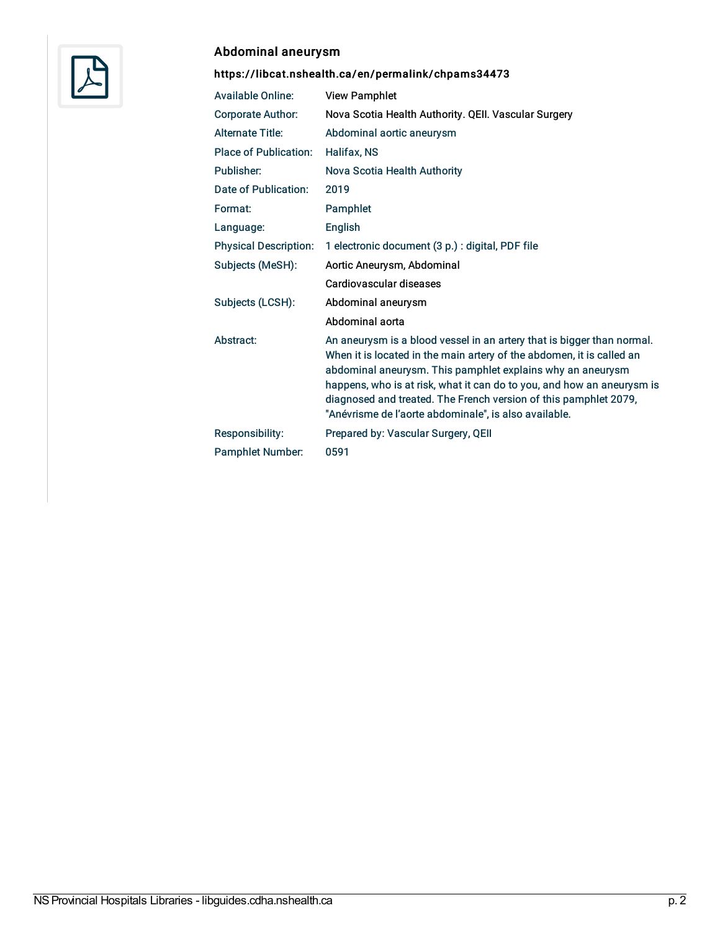

# Abdominal aneurysm

# <https://libcat.nshealth.ca/en/permalink/chpams34473>

| <b>Available Online:</b>     | <b>View Pamphlet</b>                                                                                                                                                                                                                                                                                                                                                                                                 |
|------------------------------|----------------------------------------------------------------------------------------------------------------------------------------------------------------------------------------------------------------------------------------------------------------------------------------------------------------------------------------------------------------------------------------------------------------------|
| <b>Corporate Author:</b>     | Nova Scotia Health Authority. QEII. Vascular Surgery                                                                                                                                                                                                                                                                                                                                                                 |
| <b>Alternate Title:</b>      | Abdominal aortic aneurysm                                                                                                                                                                                                                                                                                                                                                                                            |
| <b>Place of Publication:</b> | Halifax, NS                                                                                                                                                                                                                                                                                                                                                                                                          |
| Publisher:                   | Nova Scotia Health Authority                                                                                                                                                                                                                                                                                                                                                                                         |
| Date of Publication:         | 2019                                                                                                                                                                                                                                                                                                                                                                                                                 |
| Format:                      | Pamphlet                                                                                                                                                                                                                                                                                                                                                                                                             |
| Language:                    | English                                                                                                                                                                                                                                                                                                                                                                                                              |
| <b>Physical Description:</b> | 1 electronic document (3 p.) : digital, PDF file                                                                                                                                                                                                                                                                                                                                                                     |
| Subjects (MeSH):             | Aortic Aneurysm, Abdominal                                                                                                                                                                                                                                                                                                                                                                                           |
|                              | Cardiovascular diseases                                                                                                                                                                                                                                                                                                                                                                                              |
| Subjects (LCSH):             | Abdominal aneurysm                                                                                                                                                                                                                                                                                                                                                                                                   |
|                              | Abdominal aorta                                                                                                                                                                                                                                                                                                                                                                                                      |
| Abstract:                    | An aneurysm is a blood vessel in an artery that is bigger than normal.<br>When it is located in the main artery of the abdomen, it is called an<br>abdominal aneurysm. This pamphlet explains why an aneurysm<br>happens, who is at risk, what it can do to you, and how an aneurysm is<br>diagnosed and treated. The French version of this pamphlet 2079,<br>"Anévrisme de l'aorte abdominale", is also available. |
| Responsibility:              | Prepared by: Vascular Surgery, QEII                                                                                                                                                                                                                                                                                                                                                                                  |
| <b>Pamphlet Number:</b>      | 0591                                                                                                                                                                                                                                                                                                                                                                                                                 |